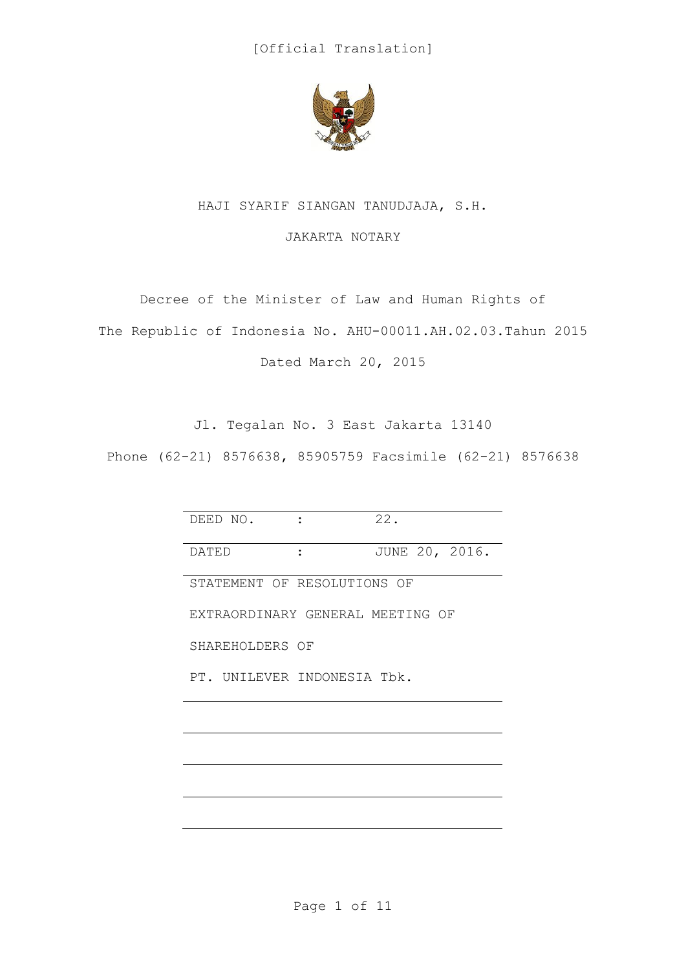

## HAJI SYARIF SIANGAN TANUDJAJA, S.H.

## JAKARTA NOTARY

Decree of the Minister of Law and Human Rights of The Republic of Indonesia No. AHU-00011.AH.02.03.Tahun 2015 Dated March 20, 2015

Jl. Tegalan No. 3 East Jakarta 13140

Phone (62-21) 8576638, 85905759 Facsimile (62-21) 8576638

| DEED NO.                         |  | 22.            |
|----------------------------------|--|----------------|
| DATED                            |  | JUNE 20, 2016. |
| STATEMENT OF RESOLUTIONS OF      |  |                |
| EXTRAORDINARY GENERAL MEETING OF |  |                |
| SHAREHOLDERS OF                  |  |                |
| PT. UNILEVER INDONESIA Tbk.      |  |                |
|                                  |  |                |
|                                  |  |                |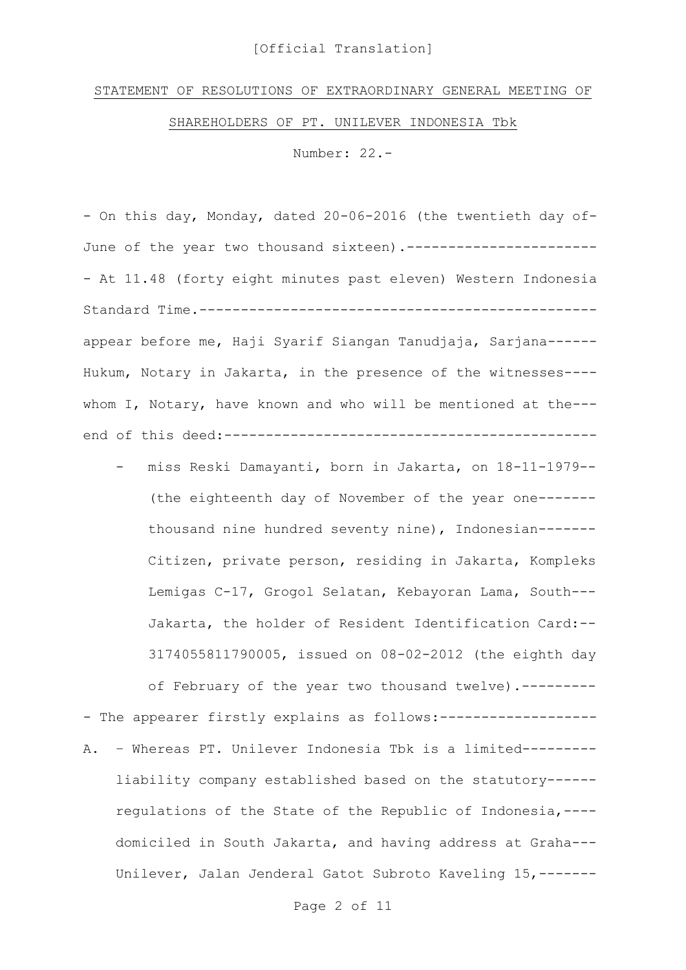## [Official Translation]

## STATEMENT OF RESOLUTIONS OF EXTRAORDINARY GENERAL MEETING OF

SHAREHOLDERS OF PT. UNILEVER INDONESIA Tbk

Number: 22.-

- On this day, Monday, dated 20-06-2016 (the twentieth day of-June of the year two thousand sixteen).------------------------ At 11.48 (forty eight minutes past eleven) Western Indonesia Standard Time.----------------------------------------------- appear before me, Haji Syarif Siangan Tanudjaja, Sarjana------ Hukum, Notary in Jakarta, in the presence of the witnesses--- whom I, Notary, have known and who will be mentioned at the-- end of this deed:---------------------------------------------

- miss Reski Damayanti, born in Jakarta, on 18-11-1979-- (the eighteenth day of November of the year one------ thousand nine hundred seventy nine), Indonesian------- Citizen, private person, residing in Jakarta, Kompleks Lemigas C-17, Grogol Selatan, Kebayoran Lama, South--- Jakarta, the holder of Resident Identification Card:-- 3174055811790005, issued on 08-02-2012 (the eighth day

of February of the year two thousand twelve).---------

- The appearer firstly explains as follows:-------------------A. – Whereas PT. Unilever Indonesia Tbk is a limited-------- liability company established based on the statutory----- regulations of the State of the Republic of Indonesia,--- domiciled in South Jakarta, and having address at Graha--- Unilever, Jalan Jenderal Gatot Subroto Kaveling 15,-------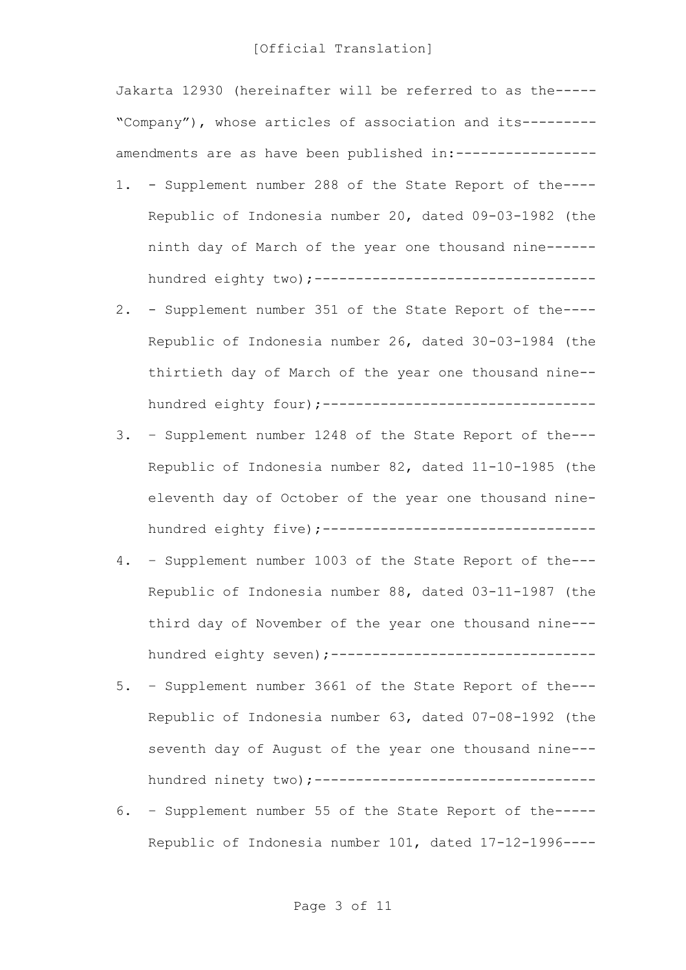Jakarta 12930 (hereinafter will be referred to as the----- "Company"), whose articles of association and its-------- amendments are as have been published in:-----------------

- 1. Supplement number 288 of the State Report of the---- Republic of Indonesia number 20, dated 09-03-1982 (the ninth day of March of the year one thousand nine----- hundred eighty two);----------------------------------
- 2. Supplement number 351 of the State Report of the---- Republic of Indonesia number 26, dated 30-03-1984 (the thirtieth day of March of the year one thousand nine- hundred eighty four) ;----------------------------------
- 3. Supplement number 1248 of the State Report of the--- Republic of Indonesia number 82, dated 11-10-1985 (the eleventh day of October of the year one thousand ninehundred eighty five);---------------------------------
- 4. Supplement number 1003 of the State Report of the--- Republic of Indonesia number 88, dated 03-11-1987 (the third day of November of the year one thousand nine-- hundred eighty seven) ;---------------------------------
- 5. Supplement number 3661 of the State Report of the--- Republic of Indonesia number 63, dated 07-08-1992 (the seventh day of August of the year one thousand nine-- hundred ninety two);----------------------------------
- 6. Supplement number 55 of the State Report of the----- Republic of Indonesia number 101, dated 17-12-1996----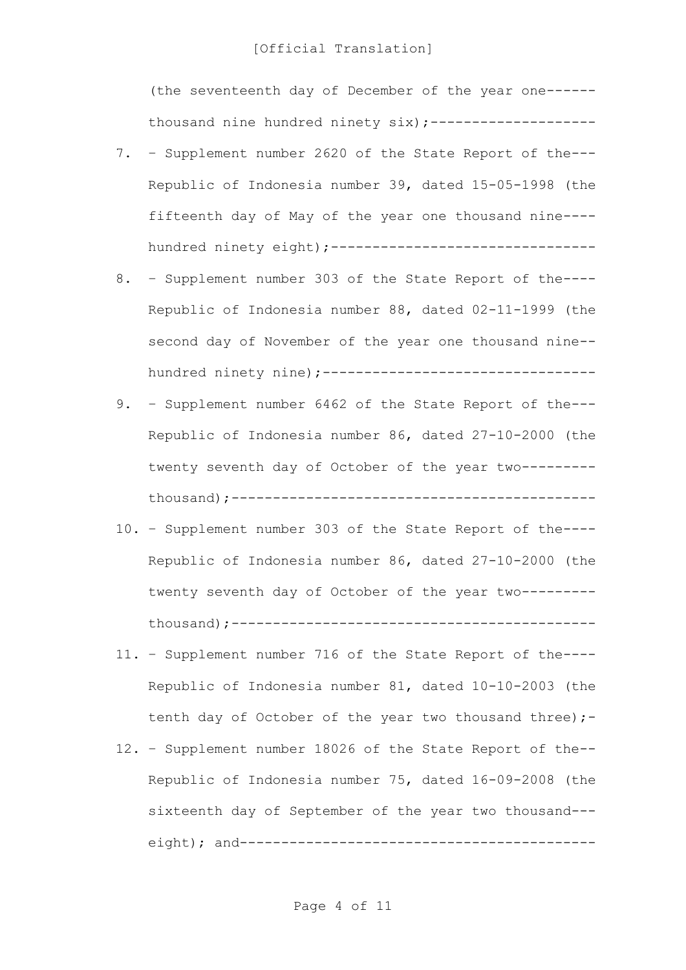(the seventeenth day of December of the year one----- thousand nine hundred ninety six); --------------------

- 7. Supplement number 2620 of the State Report of the--- Republic of Indonesia number 39, dated 15-05-1998 (the fifteenth day of May of the year one thousand nine--- hundred ninety eight);--------------------------------
- 8. Supplement number 303 of the State Report of the---- Republic of Indonesia number 88, dated 02-11-1999 (the second day of November of the year one thousand nine- hundred ninety nine);-----------------------------------
- 9. Supplement number 6462 of the State Report of the--- Republic of Indonesia number 86, dated 27-10-2000 (the twenty seventh day of October of the year two-------- thousand);--------------------------------------------
- 10. Supplement number 303 of the State Report of the---- Republic of Indonesia number 86, dated 27-10-2000 (the twenty seventh day of October of the year two-------- thousand);--------------------------------------------
- 11. Supplement number 716 of the State Report of the---- Republic of Indonesia number 81, dated 10-10-2003 (the tenth day of October of the year two thousand three) ;-
- 12. Supplement number 18026 of the State Report of the-- Republic of Indonesia number 75, dated 16-09-2008 (the sixteenth day of September of the year two thousand-- eight); and-------------------------------------------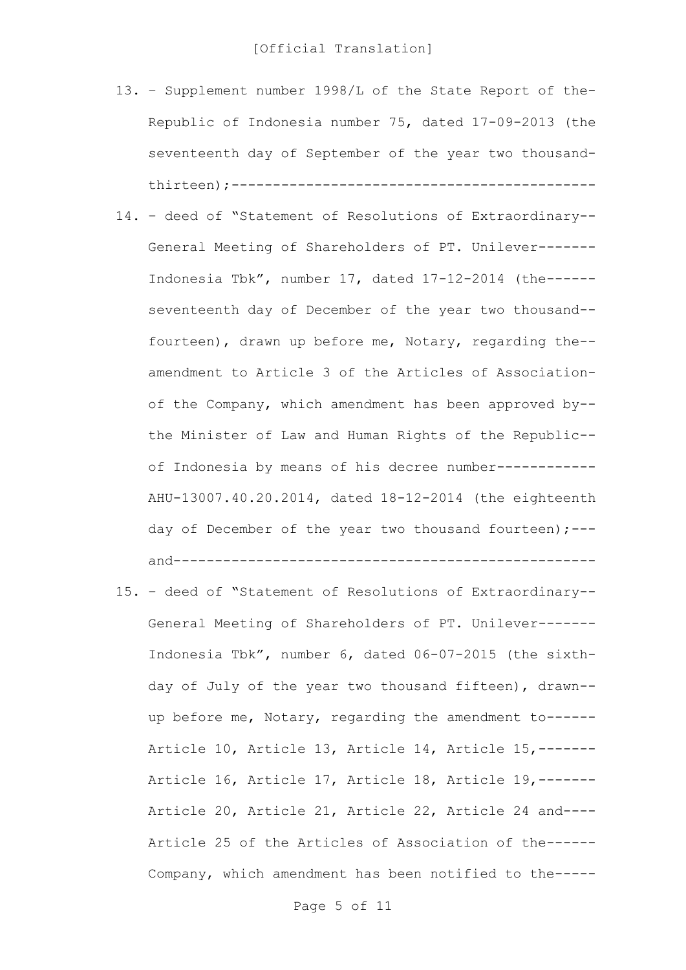- 13. Supplement number 1998/L of the State Report of the-Republic of Indonesia number 75, dated 17-09-2013 (the seventeenth day of September of the year two thousandthirteen);--------------------------------------------
- 14. deed of "Statement of Resolutions of Extraordinary-- General Meeting of Shareholders of PT. Unilever------- Indonesia Tbk", number 17, dated 17-12-2014 (the----- seventeenth day of December of the year two thousand- fourteen), drawn up before me, Notary, regarding the- amendment to Article 3 of the Articles of Associationof the Company, which amendment has been approved by- the Minister of Law and Human Rights of the Republic- of Indonesia by means of his decree number------------ AHU-13007.40.20.2014, dated 18-12-2014 (the eighteenth day of December of the year two thousand fourteen);-- and---------------------------------------------------
- 15. deed of "Statement of Resolutions of Extraordinary-- General Meeting of Shareholders of PT. Unilever------- Indonesia Tbk", number 6, dated 06-07-2015 (the sixthday of July of the year two thousand fifteen), drawn- up before me, Notary, regarding the amendment to------ Article 10, Article 13, Article 14, Article 15,------- Article 16, Article 17, Article 18, Article 19,------- Article 20, Article 21, Article 22, Article 24 and---- Article 25 of the Articles of Association of the------ Company, which amendment has been notified to the-----

Page 5 of 11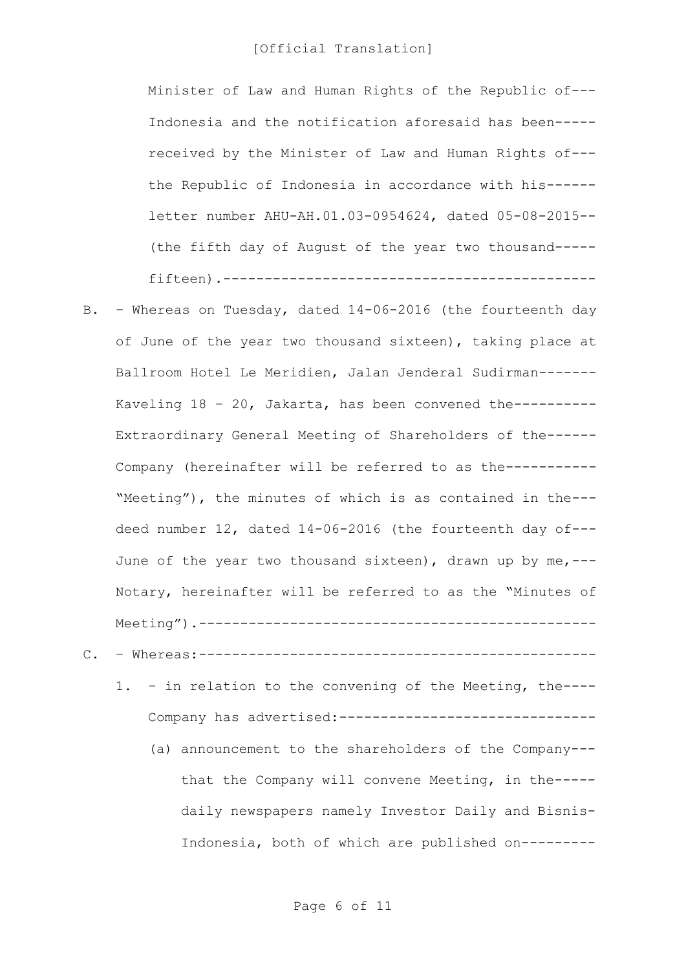Minister of Law and Human Rights of the Republic of--- Indonesia and the notification aforesaid has been---- received by the Minister of Law and Human Rights of-- the Republic of Indonesia in accordance with his----- letter number AHU-AH.01.03-0954624, dated 05-08-2015-- (the fifth day of August of the year two thousand---- fifteen).---------------------------------------------

- B. Whereas on Tuesday, dated 14-06-2016 (the fourteenth day of June of the year two thousand sixteen), taking place at Ballroom Hotel Le Meridien, Jalan Jenderal Sudirman------- Kaveling 18 – 20, Jakarta, has been convened the---------- Extraordinary General Meeting of Shareholders of the------ Company (hereinafter will be referred to as the----------- "Meeting"), the minutes of which is as contained in the-- deed number 12, dated 14-06-2016 (the fourteenth day of--- June of the year two thousand sixteen), drawn up by me,--- Notary, hereinafter will be referred to as the "Minutes of Meeting").------------------------------------------------
- C. Whereas:------------------------------------------------
	- 1. in relation to the convening of the Meeting, the---- Company has advertised:-------------------------------
		- (a) announcement to the shareholders of the Company-- that the Company will convene Meeting, in the---- daily newspapers namely Investor Daily and Bisnis-Indonesia, both of which are published on---------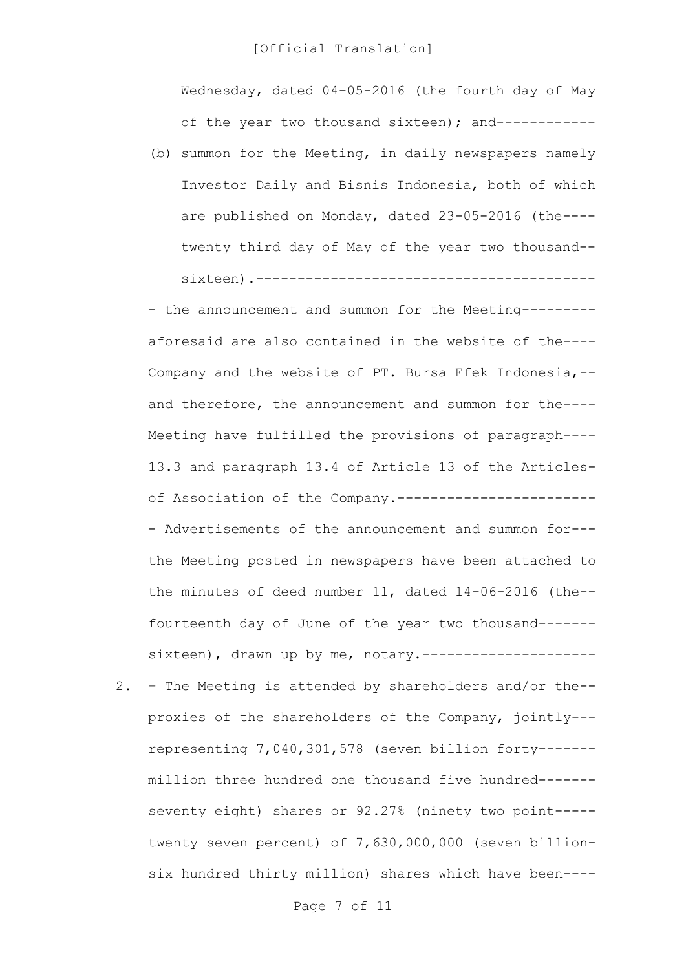Wednesday, dated 04-05-2016 (the fourth day of May of the year two thousand sixteen); and------------

(b) summon for the Meeting, in daily newspapers namely Investor Daily and Bisnis Indonesia, both of which are published on Monday, dated 23-05-2016 (the--- twenty third day of May of the year two thousand- sixteen).-----------------------------------------

- the announcement and summon for the Meeting--------aforesaid are also contained in the website of the---- Company and the website of PT. Bursa Efek Indonesia,- and therefore, the announcement and summon for the---- Meeting have fulfilled the provisions of paragraph---- 13.3 and paragraph 13.4 of Article 13 of the Articlesof Association of the Company.------------------------ - Advertisements of the announcement and summon for-- the Meeting posted in newspapers have been attached to the minutes of deed number 11, dated 14-06-2016 (the- fourteenth day of June of the year two thousand------ sixteen), drawn up by me, notary.---------------------

2. – The Meeting is attended by shareholders and/or the- proxies of the shareholders of the Company, jointly-- representing 7,040,301,578 (seven billion forty------ million three hundred one thousand five hundred------ seventy eight) shares or 92.27% (ninety two point---- twenty seven percent) of 7,630,000,000 (seven billionsix hundred thirty million) shares which have been----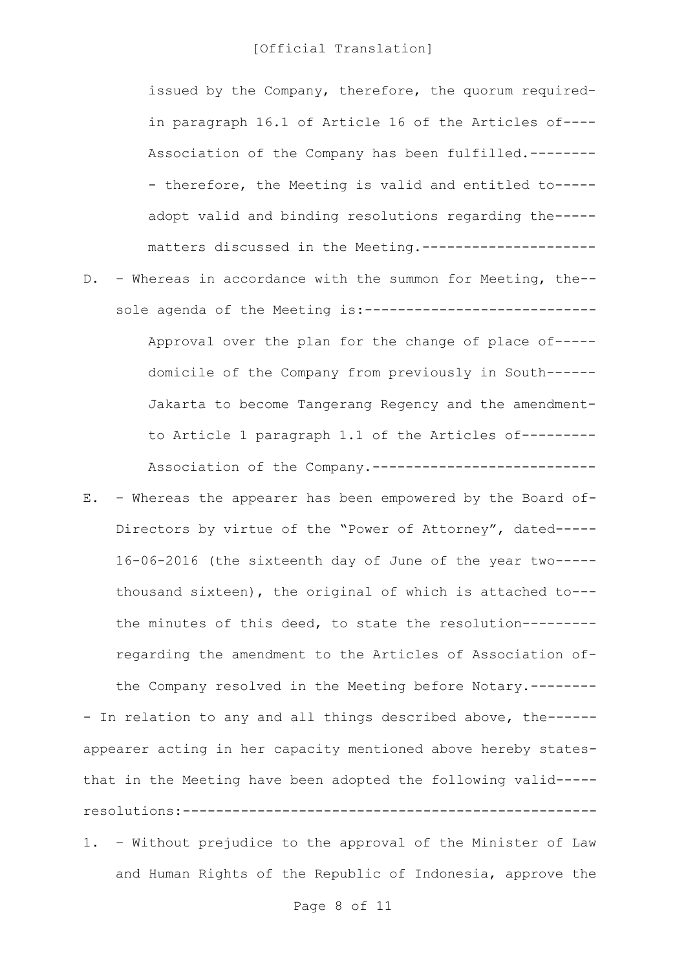issued by the Company, therefore, the quorum requiredin paragraph 16.1 of Article 16 of the Articles of---- Association of the Company has been fulfilled.-------- - therefore, the Meeting is valid and entitled to---- adopt valid and binding resolutions regarding the---- matters discussed in the Meeting.---------------------

- D. Whereas in accordance with the summon for Meeting, the- sole agenda of the Meeting is:---------------------------- Approval over the plan for the change of place of---- domicile of the Company from previously in South------ Jakarta to become Tangerang Regency and the amendmentto Article 1 paragraph 1.1 of the Articles of--------- Association of the Company.---------------------------
- E. Whereas the appearer has been empowered by the Board of-Directors by virtue of the "Power of Attorney", dated----- 16-06-2016 (the sixteenth day of June of the year two---- thousand sixteen), the original of which is attached to-- the minutes of this deed, to state the resolution-------- regarding the amendment to the Articles of Association ofthe Company resolved in the Meeting before Notary.-------- - In relation to any and all things described above, the----- appearer acting in her capacity mentioned above hereby states-

that in the Meeting have been adopted the following valid---- resolutions:--------------------------------------------------

1. – Without prejudice to the approval of the Minister of Law and Human Rights of the Republic of Indonesia, approve the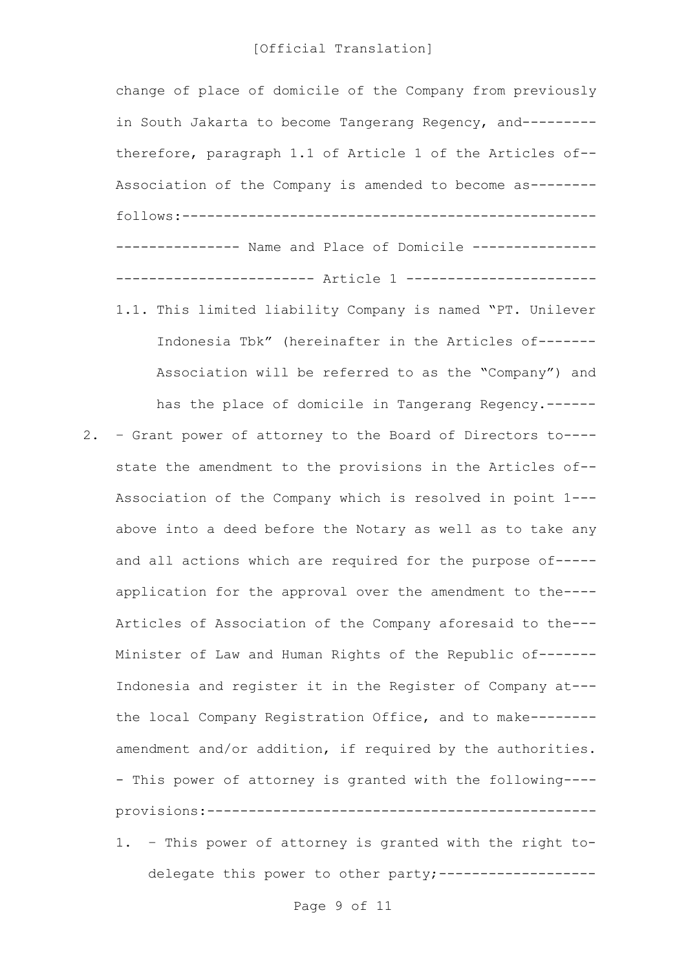change of place of domicile of the Company from previously in South Jakarta to become Tangerang Regency, and-------- therefore, paragraph 1.1 of Article 1 of the Articles of-- Association of the Company is amended to become as------- follows:-------------------------------------------------- --------------- Name and Place of Domicile --------------- ------------------------ Article 1 ----------------------- 1.1. This limited liability Company is named "PT. Unilever Indonesia Tbk" (hereinafter in the Articles of------- Association will be referred to as the "Company") and has the place of domicile in Tangerang Regency.------ 2. – Grant power of attorney to the Board of Directors to--- state the amendment to the provisions in the Articles of-- Association of the Company which is resolved in point 1-- above into a deed before the Notary as well as to take any and all actions which are required for the purpose of---- application for the approval over the amendment to the---- Articles of Association of the Company aforesaid to the--- Minister of Law and Human Rights of the Republic of------- Indonesia and register it in the Register of Company at-- the local Company Registration Office, and to make------- amendment and/or addition, if required by the authorities. - This power of attorney is granted with the following--- provisions:----------------------------------------------- 1. – This power of attorney is granted with the right to-

delegate this power to other party;------------------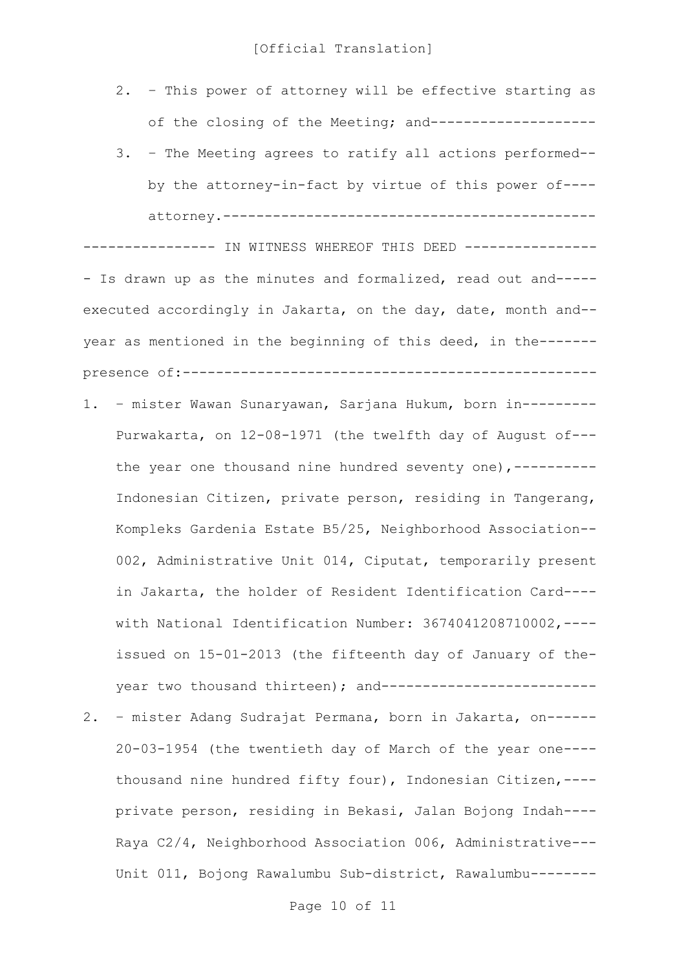- 2. This power of attorney will be effective starting as of the closing of the Meeting; and--------------------
- 3. The Meeting agrees to ratify all actions performed- by the attorney-in-fact by virtue of this power of--- attorney.---------------------------------------------

--------------- IN WITNESS WHEREOF THIS DEED ----------------- Is drawn up as the minutes and formalized, read out and----executed accordingly in Jakarta, on the day, date, month and- year as mentioned in the beginning of this deed, in the------ presence of:--------------------------------------------------

- 1. mister Wawan Sunaryawan, Sarjana Hukum, born in--------- Purwakarta, on 12-08-1971 (the twelfth day of August of-- the year one thousand nine hundred seventy one), ----------Indonesian Citizen, private person, residing in Tangerang, Kompleks Gardenia Estate B5/25, Neighborhood Association-- 002, Administrative Unit 014, Ciputat, temporarily present in Jakarta, the holder of Resident Identification Card--- with National Identification Number: 3674041208710002,--- issued on 15-01-2013 (the fifteenth day of January of theyear two thousand thirteen); and---------------------------2. – mister Adang Sudrajat Permana, born in Jakarta, on------
- 20-03-1954 (the twentieth day of March of the year one--- thousand nine hundred fifty four), Indonesian Citizen,--- private person, residing in Bekasi, Jalan Bojong Indah---- Raya C2/4, Neighborhood Association 006, Administrative--- Unit 011, Bojong Rawalumbu Sub-district, Rawalumbu--------

Page 10 of 11